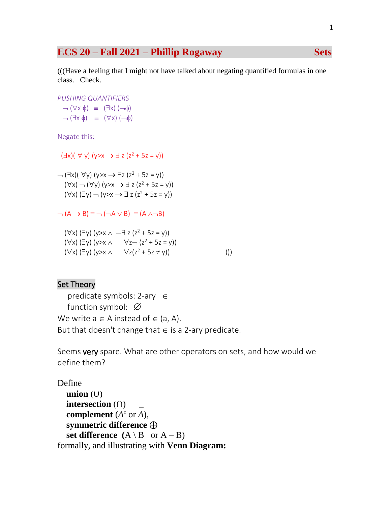# **ECS 20 – Fall 2021 – Phillip Rogaway Sets**

(((Have a feeling that I might not have talked about negating quantified formulas in one class. Check.

*PUSHING QUANTIFIERS*  $\neg (\forall x \phi) \equiv (\exists x) (\neg \phi)$ 

 $\neg$  ( $\exists$ x φ) = ( $\forall$ x) ( $\neg$ φ)

Negate this:

 $(\exists x)( \forall y)(y \rightarrow x \rightarrow \exists z (z^2 + 5z = y))$ 

 $\rightarrow$  ( $\exists$ x)( $\forall$ y) (y>x  $\rightarrow$   $\exists$ z (z<sup>2</sup> + 5z = y))  $(\forall x)$   $\neg$   $(\forall y)$   $(y \rightarrow x \rightarrow \exists z (z^2 + 5z = y))$  $(\forall x)(\exists y) \neg (y \rightarrow x \rightarrow \exists z (z^2 + 5z = y))$ 

 $\neg (A \rightarrow B) \equiv \neg (\neg A \lor B) \equiv (A \land \neg B)$ 

 $(\forall x)$  ( $\exists y$ ) ( $y \ge x \land \neg \exists z$  ( $z^2 + 5z = y$ ))  $(\forall x)$  ( $\exists y$ ) ( $y \rightarrow x \land \forall z \rightarrow (z^2 + 5z = y)$ )  $(\forall x)$  ( $\exists y$ ) ( $y > x \land \forall z(z^2 + 5z \neq y)$ ))

# Set Theory

 predicate symbols: 2-ary ∈ function symbol: ∅ We write  $a \in A$  instead of  $\in$  (a, A). But that doesn't change that  $\in$  is a 2-ary predicate.

Seems very spare. What are other operators on sets, and how would we define them?

Define  **union** (∪) **intersection** (∩) \_ **complement**  $(A^c$  or  $A)$ , **symmetric difference** ⊕ **set difference**  $(A \setminus B$  or  $A - B)$ formally, and illustrating with **Venn Diagram:**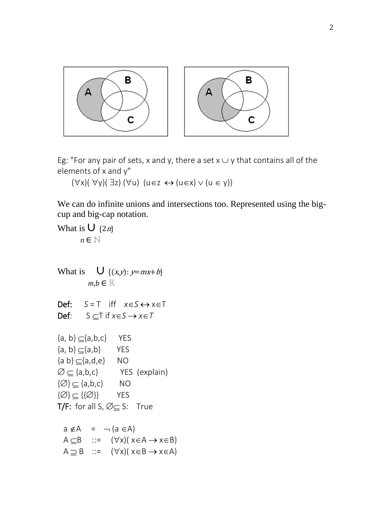

Eg: "For any pair of sets, x and y, there a set  $x \cup y$  that contains all of the elements of x and y"

 $(\forall x)(\forall y)(\exists z)(\forall u)$  (u∈z ↔ (u∈x)  $\vee$  (u ∈ y))

We can do infinite unions and intersections too. Represented using the bigcup and big-cap notation.

```
What is \bigcup {2n}
         n \in \mathbb{N}What is \bigcup \{(x,y): y=mx+b\}m, b \in \mathbb{R}Def: S = T iff x∈S ↔ x∈T 
Def: S ⊂ T if x ∈ S → x ∈ T{a, b} \subseteq {a, b, c} YES
{a, b} \subseteq {a, b} YES
{a \ b} \subseteq {a, d, e} NO
\emptyset \subseteq \{\text{a},\text{b},\text{c}\} YES (explain)
\{\emptyset\} \subseteq \{a,b,c\} NO
\{\varnothing\} \subseteq \{\{\varnothing\}\} YES
T/F: for all S, \emptyset \subseteq S: True
  a \notin A = \neg (a \in A)A \subset B ::= (\forall x)(x \in A \rightarrow x \in B)A \supseteq B ::= (\forall x)(x \in B \rightarrow x \in A)
```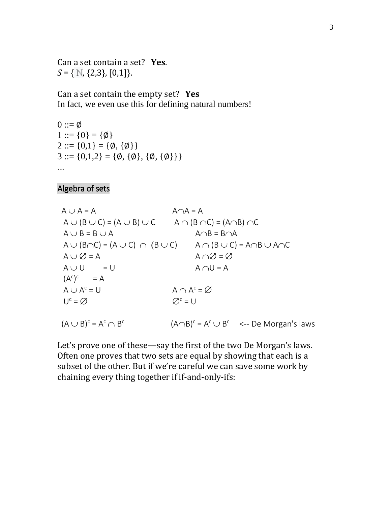Can a set contain a set? **Yes**. *S* = { N, {2,3}, [0,1]}.

Can a set contain the empty set? **Yes** In fact, we even use this for defining natural numbers!

 $0 ::= \emptyset$  $1 ::= \{0\} = \{\emptyset\}$  $2 ::= \{0,1\} = \{\emptyset, \{\emptyset\}\}\$  $3 ::= \{0,1,2\} = \{\emptyset, \{\emptyset\}, \{\emptyset, \{\emptyset\}\}\}\$ …

Algebra of sets

 $A \cup A = A$   $A \cap A = A$  $A \cup (B \cup C) = (A \cup B) \cup C$   $A \cap (B \cap C) = (A \cap B) \cap C$  $A \cup B = B \cup A$   $A \cap B = B \cap A$  $A \cup (B \cap C) = (A \cup C) \cap (B \cup C)$   $A \cap (B \cup C) = A \cap B \cup A \cap C$  $A \cup \varnothing = A$   $A \cap \varnothing = \varnothing$  $A \cup U = U$   $A \cap U = A$  $(A^c)^c = A$  $A \cup A^{c} = U$   $A \cap A^{c} = \varnothing$  $U^c = \emptyset$   $\emptyset^c = U$ 

 $(A \cup B)^c = A^c \cap B^c$  $(A\cap B)^c = A^c \cup B^c$  <-- De Morgan's laws

Let's prove one of these—say the first of the two De Morgan's laws. Often one proves that two sets are equal by showing that each is a subset of the other. But if we're careful we can save some work by chaining every thing together if if-and-only-ifs: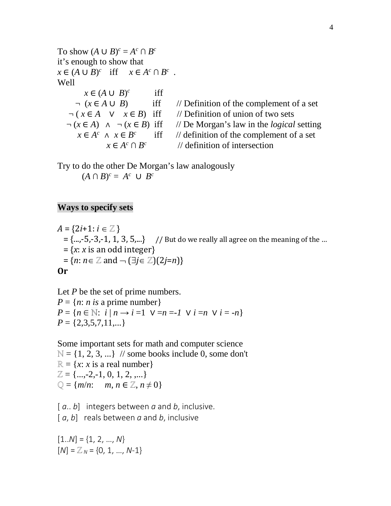To show  $(A \cup B)^c = A^c \cap B^c$ it's enough to show that  $x \in (A \cup B)^c$  iff  $x \in A^c \cap B^c$ . Well  $x \in (A \cup B)^c$  iff  $\neg (x \in A \cup B)$  iff // Definition of the complement of a set  $\neg (x \in A \lor x \in B)$  iff // Definition of union of two sets  $\neg ( x \in A \ \lor \ x \in B)$  iff // Definition of union of two sets  $\neg ( x \in A) \land \neg ( x \in B)$  iff // De Morgan's law in the *logical*  $(x \in A) \land \neg (x \in B)$  iff // De Morgan's law in the *logical* setting  $x \in A^c \land x \in B^c$  iff // definition of the complement of a set *//* definition of the complement of a set  $x \in A^c \cap B^c$ // definition of intersection

Try to do the other De Morgan's law analogously  $(A \cap B)^c = A^c \cup B^c$ 

#### **Ways to specify sets**

 $A = \{2i+1: i \in \mathbb{Z}\}\$  $= \{..., -5, -3, -1, 1, 3, 5,...\}$  // But do we really all agree on the meaning of the …  $= {x: x is an odd integer}$  $= {n: n \in \mathbb{Z} \text{ and } \neg (\exists j \in \mathbb{Z}) (2j=n)}$ **Or**

Let *P* be the set of prime numbers.  $P = \{n: n \text{ is a prime number}\}$ *P* = { $n \in \mathbb{N}$ : *i* | $n \rightarrow i$  =1 ∨ = $n =$ -1 ∨ *i* = $n$  ∨ *i* = - $n$ }  $P = \{2,3,5,7,11,...\}$ 

Some important sets for math and computer science

 $\mathbb{N} = \{1, 2, 3, ...\}$  // some books include 0, some don't  $\mathbb{R} = \{x : x \text{ is a real number}\}\$  $\mathbb{Z} = \{...,2,-1,0,1,2,...\}$  $\mathbb{Q} = \{m/n: m, n \in \mathbb{Z}, n \neq 0\}$ 

[ *a*.. *b*] integers between *a* and *b*, inclusive. [ *a*, *b*] reals between *a* and *b*, inclusive

 $[1..N] = \{1, 2, ..., N\}$  $[N] = \mathbb{Z}_N = \{0, 1, ..., N-1\}$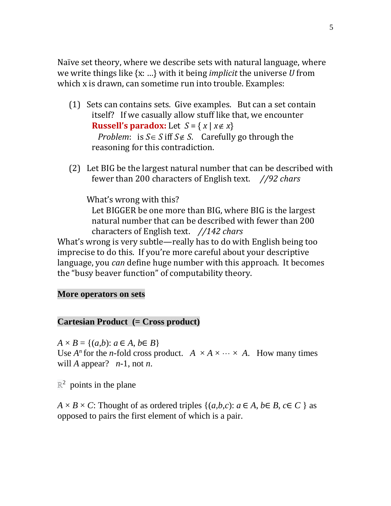Naïve set theory, where we describe sets with natural language, where we write things like {x: …} with it being *implicit* the universe *U* from which x is drawn, can sometime run into trouble. Examples:

- (1) Sets can contains sets. Give examples. But can a set contain itself? If we casually allow stuff like that, we encounter **Russell's paradox:** Let  $S = \{x \mid x \notin x\}$ *Problem*: is *S*∈ *S* iff *S*∉ *S*. Carefully go through the reasoning for this contradiction.
- (2) Let BIG be the largest natural number that can be described with fewer than 200 characters of English text. *//92 chars*

What's wrong with this? Let BIGGER be one more than BIG, where BIG is the largest natural number that can be described with fewer than 200 characters of English text. *//142 chars* What's wrong is very subtle—really has to do with English being too imprecise to do this. If you're more careful about your descriptive language, you *can* define huge number with this approach. It becomes the "busy beaver function" of computability theory.

## **More operators on sets**

### **Cartesian Product (= Cross product)**

 $A \times B = \{(a,b): a \in A, b \in B\}$ 

Use  $A^n$  for the *n*-fold cross product.  $A \times A \times \cdots \times A$ . How many times will *A* appear?  $n-1$ , not *n*.

 $\mathbb{R}^2$  points in the plane

 $A \times B \times C$ : Thought of as ordered triples  $\{(a,b,c): a \in A, b \in B, c \in C \}$  as opposed to pairs the first element of which is a pair.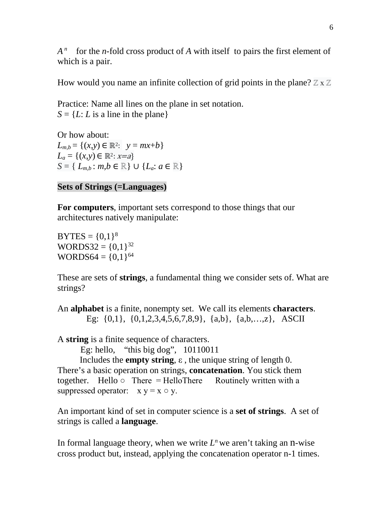*A*<sup>*n*</sup> for the *n*-fold cross product of *A* with itself to pairs the first element of which is a pair.

How would you name an infinite collection of grid points in the plane?  $\mathbb{Z} \times \mathbb{Z}$ 

Practice: Name all lines on the plane in set notation.  $S = \{L: L$  is a line in the plane

Or how about:  $L_{m,b} = \{(x, y) \in \mathbb{R}^2: y = mx + b\}$  $L_a = \{(x, y) \in \mathbb{R}^2 : x = a\}$ *S* = {  $L_{m,b}$ :  $m,b \in \mathbb{R}$  } ∪ { $L_a$ :  $a \in \mathbb{R}$ }

# **Sets of Strings (=Languages)**

**For computers**, important sets correspond to those things that our architectures natively manipulate:

 $BYTES = \{0,1\}^8$ WORDS32 =  $\{0,1\}^{32}$ WORDS64 =  $\{0,1\}^{64}$ 

These are sets of **strings**, a fundamental thing we consider sets of. What are strings?

An **alphabet** is a finite, nonempty set. We call its elements **characters**. Eg: {0,1}, {0,1,2,3,4,5,6,7,8,9}, {a,b}, {a,b,…,z}, ASCII

A **string** is a finite sequence of characters.

Eg: hello, "this big dog", 10110011

 Includes the **empty string**, ε , the unique string of length 0. There's a basic operation on strings, **concatenation**. You stick them together. Hello  $\circ$  There = HelloThere Routinely written with a suppressed operator:  $x y = x \circ y$ .

An important kind of set in computer science is a **set of strings**. A set of strings is called a **language**.

In formal language theory, when we write  $L<sup>n</sup>$  we aren't taking an n-wise cross product but, instead, applying the concatenation operator n-1 times.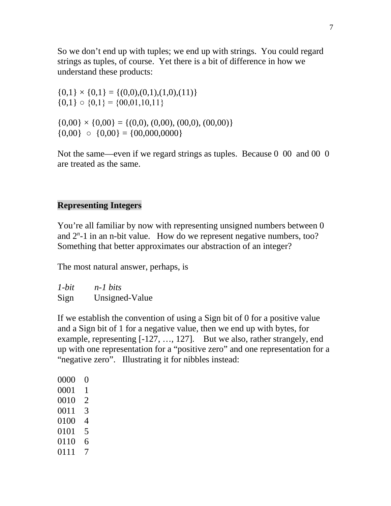So we don't end up with tuples; we end up with strings. You could regard strings as tuples, of course. Yet there is a bit of difference in how we understand these products:

 $\{0,1\} \times \{0,1\} = \{(0,0),(0,1),(1,0),(11)\}\$  ${0,1} \circ {0,1} = {00,01,10,11}$  $\{0,00\} \times \{0,00\} = \{(0,0), (0,00), (00,0), (00,00)\}$ 

 ${0,00}$   ${0,00}$   ${0,00}$  = {00,000,0000}

Not the same—even if we regard strings as tuples. Because 0 00 and 00 0 are treated as the same.

# **Representing Integers**

You're all familiar by now with representing unsigned numbers between 0 and  $2<sup>n</sup> - 1$  in an n-bit value. How do we represent negative numbers, too? Something that better approximates our abstraction of an integer?

The most natural answer, perhaps, is

*1-bit n-1 bits* Sign Unsigned-Value

If we establish the convention of using a Sign bit of 0 for a positive value and a Sign bit of 1 for a negative value, then we end up with bytes, for example, representing [-127, …, 127]. But we also, rather strangely, end up with one representation for a "positive zero" and one representation for a "negative zero". Illustrating it for nibbles instead: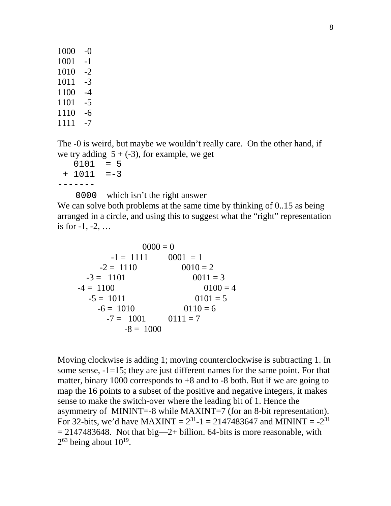1000 -0 1001 -1  $1010 -2$ 1011 -3 1100 -4 1101 -5 1110 -6 1111 -7

The -0 is weird, but maybe we wouldn't really care. On the other hand, if we try adding  $5 + (-3)$ , for example, we get

 $0101 = 5$  $+ 1011 = -3$ -------

0000 which isn't the right answer

We can solve both problems at the same time by thinking of 0..15 as being arranged in a circle, and using this to suggest what the "right" representation is for  $-1, -2, \ldots$ 

 $0000 = 0$  $-1 = 1111$   $0001 = 1$  $-2 = 1110$   $0010 = 2$  $-3 = 1101$  0011 = 3  $-4 = 1100$  0100 = 4  $-5 = 1011$  0101 = 5  $-6 = 1010$   $0110 = 6$  $-7 = 1001$   $0111 = 7$  $-8 = 1000$ 

Moving clockwise is adding 1; moving counterclockwise is subtracting 1. In some sense, -1=15; they are just different names for the same point. For that matter, binary 1000 corresponds to  $+8$  and to  $-8$  both. But if we are going to map the 16 points to a subset of the positive and negative integers, it makes sense to make the switch-over where the leading bit of 1. Hence the asymmetry of MININT=-8 while MAXINT=7 (for an 8-bit representation). For 32-bits, we'd have MAXINT =  $2^{31}$ -1 = 2147483647 and MININT =  $-2^{31}$  $= 2147483648$ . Not that big—2+ billion. 64-bits is more reasonable, with  $2^{63}$  being about  $10^{19}$ .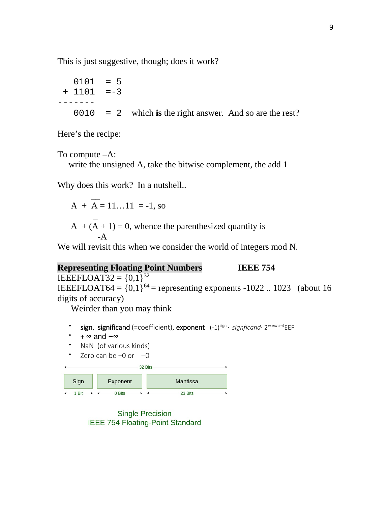This is just suggestive, though; does it work?

$$
0101 = 5
$$
  
+ 1101 = -3  
------  

$$
0010 = 2
$$
 which is the right answer. And so are the rest?

Here's the recipe:

To compute –A:

write the unsigned A, take the bitwise complement, the add 1

Why does this work? In a nutshell..

 $\mathcal{L}=\mathcal{L}$  $A + A = 11...11 = -1$ , so

 $\sim$   $\sim$  $A + (A + 1) = 0$ , whence the parenthesized quantity is -A

We will revisit this when we consider the world of integers mod N.

# **Representing Floating Point Numbers IEEE 754**

IEEEFLOAT32 =  $\{0,1\}^{32}$ IEEEFLOAT64 =  $\{0,1\}^{64}$  = representing exponents -1022 .. 1023 (about 16 digits of accuracy)

Weirder than you may think

- sign, significand (=coefficient), exponent (-1)<sup>sign</sup> · signficand· 2<sup>exponent</sup>EEF
- + **∞** and **−∞**
- NaN (of various kinds)
- Zero can be +0 or  $-0$



**Single Precision IEEE 754 Floating-Point Standard**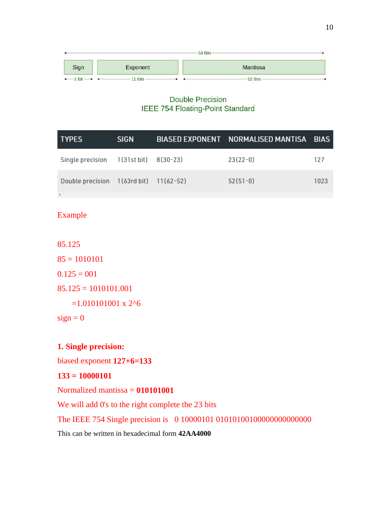|                                  |          | 64 Bits         |  |
|----------------------------------|----------|-----------------|--|
| Sign                             | Exponent | <b>Mantissa</b> |  |
| $\leftarrow$ 1 Bit $\rightarrow$ | 11 Bits  | 52 Bits         |  |

### **Double Precision** IEEE 754 Floating-Point Standard

| <b>TYPES</b>                           | <b>SIGN</b> | BIASED EXPONENT NORMALISED MANTISA BIAS |      |
|----------------------------------------|-------------|-----------------------------------------|------|
| Single precision 1(31st bit) 8(30-23)  |             | $23(22-0)$                              | 127  |
| Double precision 1(63rd bit) 11(62-52) |             | $52(51-0)$                              | 1023 |
|                                        |             |                                         |      |

## Example

85.125

 $85 = 1010101$  $0.125 = 001$  $85.125 = 1010101.001$  $=1.010101001 \times 2$ <sup>^6</sup>

 $sign = 0$ 

## **1. Single precision:**

biased exponent **127+6=133**

#### **133 = 10000101**

### Normalized mantissa = **010101001**

We will add 0's to the right complete the 23 bits

The IEEE 754 Single precision is 0 10000101 01010100100000000000000

This can be written in hexadecimal form **42AA4000**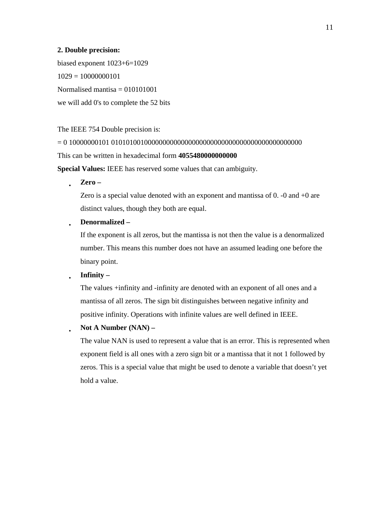#### **2. Double precision:**

biased exponent 1023+6=1029  $1029 = 10000000101$ Normalised mantisa  $= 010101001$ we will add 0's to complete the 52 bits

The IEEE 754 Double precision is:

= 0 10000000101 0101010010000000000000000000000000000000000000000000

This can be written in hexadecimal form **4055480000000000**

**Special Values:** IEEE has reserved some values that can ambiguity.

• **Zero –**

Zero is a special value denoted with an exponent and mantissa of 0. -0 and +0 are distinct values, though they both are equal.

• **Denormalized –**

If the exponent is all zeros, but the mantissa is not then the value is a denormalized number. This means this number does not have an assumed leading one before the binary point.

• **Infinity –**

The values +infinity and -infinity are denoted with an exponent of all ones and a mantissa of all zeros. The sign bit distinguishes between negative infinity and positive infinity. Operations with infinite values are well defined in IEEE.

• **Not A Number (NAN) –**

The value NAN is used to represent a value that is an error. This is represented when exponent field is all ones with a zero sign bit or a mantissa that it not 1 followed by zeros. This is a special value that might be used to denote a variable that doesn't yet hold a value.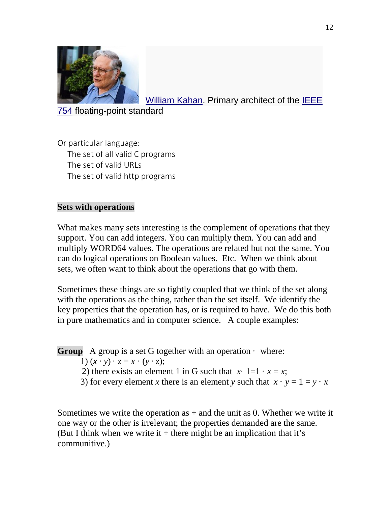

[William Kahan.](http://en.wikipedia.org/wiki/William_Kahan) Primary architect of the **IEEE** 

[754](http://en.wikipedia.org/wiki/IEEE_754) floating-point standard

Or particular language: The set of all valid C programs The set of valid URLs The set of valid http programs

# **Sets with operations**

What makes many sets interesting is the complement of operations that they support. You can add integers. You can multiply them. You can add and multiply WORD64 values. The operations are related but not the same. You can do logical operations on Boolean values. Etc. When we think about sets, we often want to think about the operations that go with them.

Sometimes these things are so tightly coupled that we think of the set along with the operations as the thing, rather than the set itself. We identify the key properties that the operation has, or is required to have. We do this both in pure mathematics and in computer science. A couple examples:

**Group** A group is a set G together with an operation  $\cdot$  where: 1)  $(x \cdot y) \cdot z = x \cdot (y \cdot z)$ ; 2) there exists an element 1 in G such that  $x \cdot 1 = 1 \cdot x = x$ ; 3) for every element *x* there is an element *y* such that  $x \cdot y = 1 = y \cdot x$ 

Sometimes we write the operation as  $+$  and the unit as 0. Whether we write it one way or the other is irrelevant; the properties demanded are the same. (But I think when we write it  $+$  there might be an implication that it's communitive.)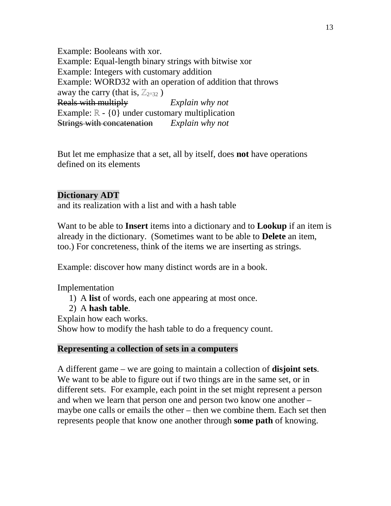Example: Booleans with xor. Example: Equal-length binary strings with bitwise xor Example: Integers with customary addition Example: WORD32 with an operation of addition that throws away the carry (that is,  $\mathbb{Z}_{2^{A32}}$  ) Reals with multiply *Explain why not* Example: ℝ - {0} under customary multiplication Strings with concatenation *Explain why not*

But let me emphasize that a set, all by itself, does **not** have operations defined on its elements

# **Dictionary ADT**

and its realization with a list and with a hash table

Want to be able to **Insert** items into a dictionary and to **Lookup** if an item is already in the dictionary. (Sometimes want to be able to **Delete** an item, too.) For concreteness, think of the items we are inserting as strings.

Example: discover how many distinct words are in a book.

Implementation

- 1) A **list** of words, each one appearing at most once.
- 2) A **hash table**.

Explain how each works.

Show how to modify the hash table to do a frequency count.

## **Representing a collection of sets in a computers**

A different game – we are going to maintain a collection of **disjoint sets**. We want to be able to figure out if two things are in the same set, or in different sets. For example, each point in the set might represent a person and when we learn that person one and person two know one another – maybe one calls or emails the other – then we combine them. Each set then represents people that know one another through **some path** of knowing.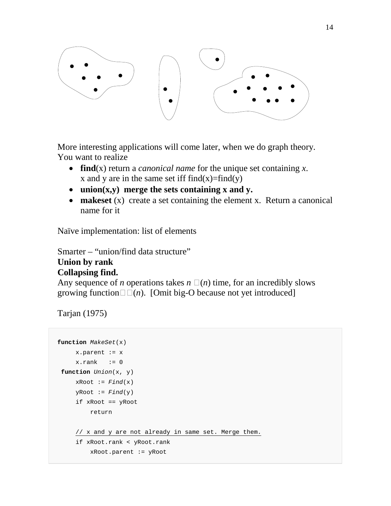

More interesting applications will come later, when we do graph theory. You want to realize

- **find**(x) return a *canonical name* for the unique set containing *x*. x and y are in the same set iff  $find(x)=find(y)$
- **union(x,y) merge the sets containing x and y.**
- **makeset** (x) create a set containing the element x. Return a canonical name for it

Naïve implementation: list of elements

Smarter – "union/find data structure" **Union by rank**

# **Collapsing find.**

Any sequence of *n* operations takes  $n \square(n)$  time, for an incredibly slows growing function $\square(\eta)$ . [Omit big-O because not yet introduced]

```
Tarjan (1975)
```

```
function MakeSet(x)
    x.parent := xx.rank := 0
function Union(x, y)
    xRoot := Find(x)yRoot := Find(y) if xRoot == yRoot
         return
      // x and y are not already in same set. Merge them.
      if xRoot.rank < yRoot.rank
         xRoot.parent := yRoot
```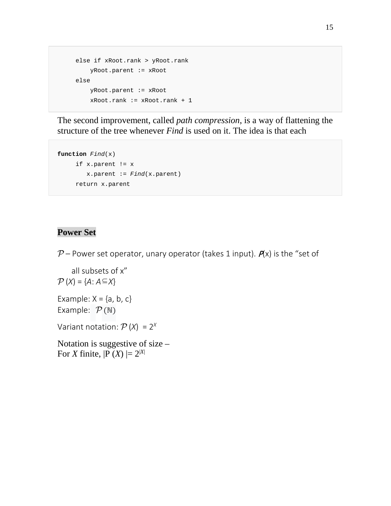```
 else if xRoot.rank > yRoot.rank
     yRoot.parent := xRoot
 else
     yRoot.parent := xRoot
     xRoot.rank := xRoot.rank + 1
```
The second improvement, called *path compression*, is a way of flattening the structure of the tree whenever *Find* is used on it. The idea is that each

```
function Find(x)
      if x.parent != x
         x.parent := Find(x.parent)
     return x.parent
```
# **Power Set**

P – Power set operator, unary operator (takes 1 input).  $P(x)$  is the "set of

 all subsets of x"  $P(X) = \{A: A \subseteq X\}$ 

Example:  $X = \{a, b, c\}$ Example:  $\mathcal{P}(\mathbb{N})$ 

Variant notation:  $\mathcal{P}(X) = 2^X$ 

Notation is suggestive of size – For *X* finite,  $|P(X)| = 2^{|X|}$